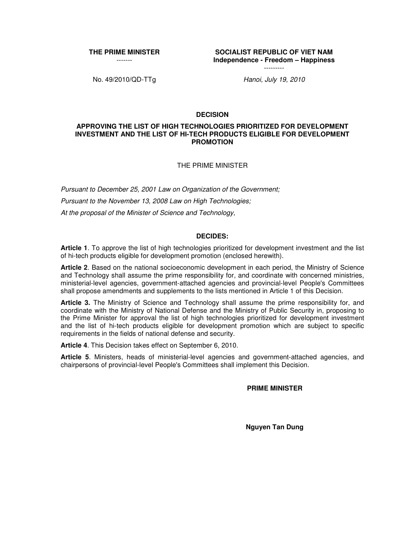**THE PRIME MINISTER** -------

**SOCIALIST REPUBLIC OF VIET NAM Independence - Freedom – Happiness**

No. 49/2010/QD-TTg Hanoi, July 19, 2010

---------

## **DECISION**

#### **APPROVING THE LIST OF HIGH TECHNOLOGIES PRIORITIZED FOR DEVELOPMENT INVESTMENT AND THE LIST OF HI-TECH PRODUCTS ELIGIBLE FOR DEVELOPMENT PROMOTION**

THE PRIME MINISTER

Pursuant to December 25, 2001 Law on Organization of the Government; Pursuant to the November 13, 2008 Law on High Technologies: At the proposal of the Minister of Science and Technology,

#### **DECIDES:**

**Article 1**. To approve the list of high technologies prioritized for development investment and the list of hi-tech products eligible for development promotion (enclosed herewith).

**Article 2**. Based on the national socioeconomic development in each period, the Ministry of Science and Technology shall assume the prime responsibility for, and coordinate with concerned ministries, ministerial-level agencies, government-attached agencies and provincial-level People's Committees shall propose amendments and supplements to the lists mentioned in Article 1 of this Decision.

**Article 3.** The Ministry of Science and Technology shall assume the prime responsibility for, and coordinate with the Ministry of National Defense and the Ministry of Public Security in, proposing to the Prime Minister for approval the list of high technologies prioritized for development investment and the list of hi-tech products eligible for development promotion which are subject to specific requirements in the fields of national defense and security.

**Article 4**. This Decision takes effect on September 6, 2010.

**Article 5**. Ministers, heads of ministerial-level agencies and government-attached agencies, and chairpersons of provincial-level People's Committees shall implement this Decision.

**PRIME MINISTER** 

**Nguyen Tan Dung**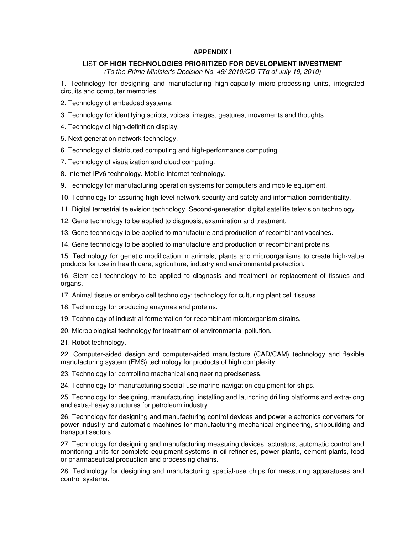### **APPENDIX I**

# LIST **OF HIGH TECHNOLOGIES PRIORITIZED FOR DEVELOPMENT INVESTMENT**

(To the Prime Minister's Decision No. 49/ 2010/QD-TTg of July 19, 2010)

1. Technology for designing and manufacturing high-capacity micro-processing units, integrated circuits and computer memories.

2. Technology of embedded systems.

3. Technology for identifying scripts, voices, images, gestures, movements and thoughts.

4. Technology of high-definition display.

5. Next-generation network technology.

6. Technology of distributed computing and high-performance computing.

7. Technology of visualization and cloud computing.

8. Internet IPv6 technology. Mobile Internet technology.

9. Technology for manufacturing operation systems for computers and mobile equipment.

10. Technology for assuring high-level network security and safety and information confidentiality.

11. Digital terrestrial television technology. Second-generation digital satellite television technology.

12. Gene technology to be applied to diagnosis, examination and treatment.

13. Gene technology to be applied to manufacture and production of recombinant vaccines.

14. Gene technology to be applied to manufacture and production of recombinant proteins.

15. Technology for genetic modification in animals, plants and microorganisms to create high-value products for use in health care, agriculture, industry and environmental protection.

16. Stem-cell technology to be applied to diagnosis and treatment or replacement of tissues and organs.

17. Animal tissue or embryo cell technology; technology for culturing plant cell tissues.

18. Technology for producing enzymes and proteins.

19. Technology of industrial fermentation for recombinant microorganism strains.

20. Microbiological technology for treatment of environmental pollution.

21. Robot technology.

22. Computer-aided design and computer-aided manufacture (CAD/CAM) technology and flexible manufacturing system (FMS) technology for products of high complexity.

23. Technology for controlling mechanical engineering preciseness.

24. Technology for manufacturing special-use marine navigation equipment for ships.

25. Technology for designing, manufacturing, installing and launching drilling platforms and extra-long and extra-heavy structures for petroleum industry.

26. Technology for designing and manufacturing control devices and power electronics converters for power industry and automatic machines for manufacturing mechanical engineering, shipbuilding and transport sectors.

27. Technology for designing and manufacturing measuring devices, actuators, automatic control and monitoring units for complete equipment systems in oil refineries, power plants, cement plants, food or pharmaceutical production and processing chains.

28. Technology for designing and manufacturing special-use chips for measuring apparatuses and control systems.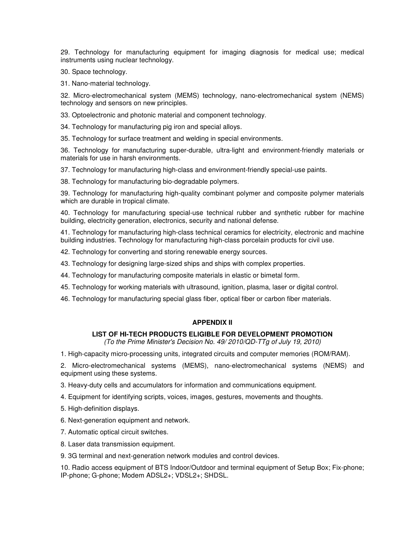29. Technology for manufacturing equipment for imaging diagnosis for medical use; medical instruments using nuclear technology.

30. Space technology.

31. Nano-material technology.

32. Micro-electromechanical system (MEMS) technology, nano-electromechanical system (NEMS) technology and sensors on new principles.

33. Optoelectronic and photonic material and component technology.

34. Technology for manufacturing pig iron and special alloys.

35. Technology for surface treatment and welding in special environments.

36. Technology for manufacturing super-durable, ultra-light and environment-friendly materials or materials for use in harsh environments.

37. Technology for manufacturing high-class and environment-friendly special-use paints.

38. Technology for manufacturing bio-degradable polymers.

39. Technology for manufacturing high-quality combinant polymer and composite polymer materials which are durable in tropical climate.

40. Technology for manufacturing special-use technical rubber and synthetic rubber for machine building, electricity generation, electronics, security and national defense.

41. Technology for manufacturing high-class technical ceramics for electricity, electronic and machine building industries. Technology for manufacturing high-class porcelain products for civil use.

42. Technology for converting and storing renewable energy sources.

43. Technology for designing large-sized ships and ships with complex properties.

44. Technology for manufacturing composite materials in elastic or bimetal form.

45. Technology for working materials with ultrasound, ignition, plasma, laser or digital control.

46. Technology for manufacturing special glass fiber, optical fiber or carbon fiber materials.

# **APPENDIX II**

### **LIST OF HI-TECH PRODUCTS ELIGIBLE FOR DEVELOPMENT PROMOTION**

(To the Prime Minister's Decision No. 49/ 2010/QD-TTg of July 19, 2010)

1. High-capacity micro-processing units, integrated circuits and computer memories (ROM/RAM).

2. Micro-electromechanical systems (MEMS), nano-electromechanical systems (NEMS) and equipment using these systems.

3. Heavy-duty cells and accumulators for information and communications equipment.

4. Equipment for identifying scripts, voices, images, gestures, movements and thoughts.

5. High-definition displays.

6. Next-generation equipment and network.

7. Automatic optical circuit switches.

8. Laser data transmission equipment.

9. 3G terminal and next-generation network modules and control devices.

10. Radio access equipment of BTS Indoor/Outdoor and terminal equipment of Setup Box; Fix-phone; IP-phone; G-phone; Modem ADSL2+; VDSL2+; SHDSL.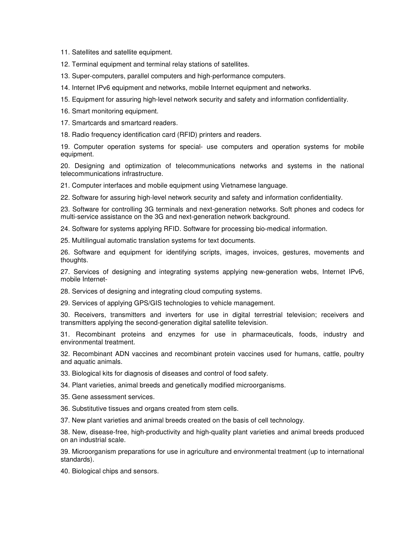11. Satellites and satellite equipment.

12. Terminal equipment and terminal relay stations of satellites.

13. Super-computers, parallel computers and high-performance computers.

14. Internet IPv6 equipment and networks, mobile Internet equipment and networks.

15. Equipment for assuring high-level network security and safety and information confidentiality.

16. Smart monitoring equipment.

17. Smartcards and smartcard readers.

18. Radio frequency identification card (RFID) printers and readers.

19. Computer operation systems for special- use computers and operation systems for mobile equipment.

20. Designing and optimization of telecommunications networks and systems in the national telecommunications infrastructure.

21. Computer interfaces and mobile equipment using Vietnamese language.

22. Software for assuring high-level network security and safety and information confidentiality.

23. Software for controlling 3G terminals and next-generation networks. Soft phones and codecs for multi-service assistance on the 3G and next-generation network background.

24. Software for systems applying RFID. Software for processing bio-medical information.

25. Multilingual automatic translation systems for text documents.

26. Software and equipment for identifying scripts, images, invoices, gestures, movements and thoughts.

27. Services of designing and integrating systems applying new-generation webs, Internet IPv6, mobile Internet-

28. Services of designing and integrating cloud computing systems.

29. Services of applying GPS/GIS technologies to vehicle management.

30. Receivers, transmitters and inverters for use in digital terrestrial television; receivers and transmitters applying the second-generation digital satellite television.

31. Recombinant proteins and enzymes for use in pharmaceuticals, foods, industry and environmental treatment.

32. Recombinant ADN vaccines and recombinant protein vaccines used for humans, cattle, poultry and aquatic animals.

33. Biological kits for diagnosis of diseases and control of food safety.

34. Plant varieties, animal breeds and genetically modified microorganisms.

35. Gene assessment services.

36. Substitutive tissues and organs created from stem cells.

37. New plant varieties and animal breeds created on the basis of cell technology.

38. New, disease-free, high-productivity and high-quality plant varieties and animal breeds produced on an industrial scale.

39. Microorganism preparations for use in agriculture and environmental treatment (up to international standards).

40. Biological chips and sensors.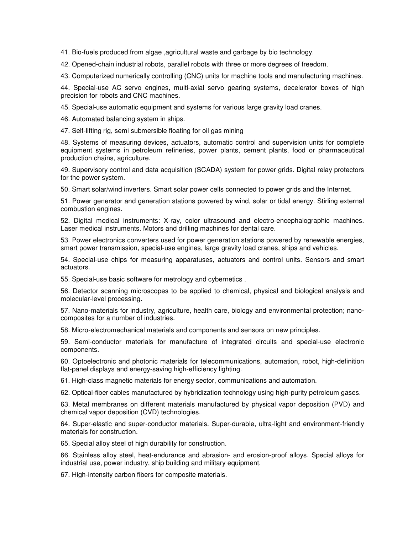41. Bio-fuels produced from algae ,agricultural waste and garbage by bio technology.

42. Opened-chain industrial robots, parallel robots with three or more degrees of freedom.

43. Computerized numerically controlling (CNC) units for machine tools and manufacturing machines.

44. Special-use AC servo engines, multi-axial servo gearing systems, decelerator boxes of high precision for robots and CNC machines.

45. Special-use automatic equipment and systems for various large gravity load cranes.

46. Automated balancing system in ships.

47. Self-lifting rig, semi submersible floating for oil gas mining

48. Systems of measuring devices, actuators, automatic control and supervision units for complete equipment systems in petroleum refineries, power plants, cement plants, food or pharmaceutical production chains, agriculture.

49. Supervisory control and data acquisition (SCADA) system for power grids. Digital relay protectors for the power system.

50. Smart solar/wind inverters. Smart solar power cells connected to power grids and the Internet.

51. Power generator and generation stations powered by wind, solar or tidal energy. Stirling external combustion engines.

52. Digital medical instruments: X-ray, color ultrasound and electro-encephalographic machines. Laser medical instruments. Motors and drilling machines for dental care.

53. Power electronics converters used for power generation stations powered by renewable energies, smart power transmission, special-use engines, large gravity load cranes, ships and vehicles.

54. Special-use chips for measuring apparatuses, actuators and control units. Sensors and smart actuators.

55. Special-use basic software for metrology and cybernetics .

56. Detector scanning microscopes to be applied to chemical, physical and biological analysis and molecular-level processing.

57. Nano-materials for industry, agriculture, health care, biology and environmental protection; nanocomposites for a number of industries.

58. Micro-electromechanical materials and components and sensors on new principles.

59. Semi-conductor materials for manufacture of integrated circuits and special-use electronic components.

60. Optoelectronic and photonic materials for telecommunications, automation, robot, high-definition flat-panel displays and energy-saving high-efficiency lighting.

61. High-class magnetic materials for energy sector, communications and automation.

62. Optical-fiber cables manufactured by hybridization technology using high-purity petroleum gases.

63. Metal membranes on different materials manufactured by physical vapor deposition (PVD) and chemical vapor deposition (CVD) technologies.

64. Super-elastic and super-conductor materials. Super-durable, ultra-light and environment-friendly materials for construction.

65. Special alloy steel of high durability for construction.

66. Stainless alloy steel, heat-endurance and abrasion- and erosion-proof alloys. Special alloys for industrial use, power industry, ship building and military equipment.

67. High-intensity carbon fibers for composite materials.